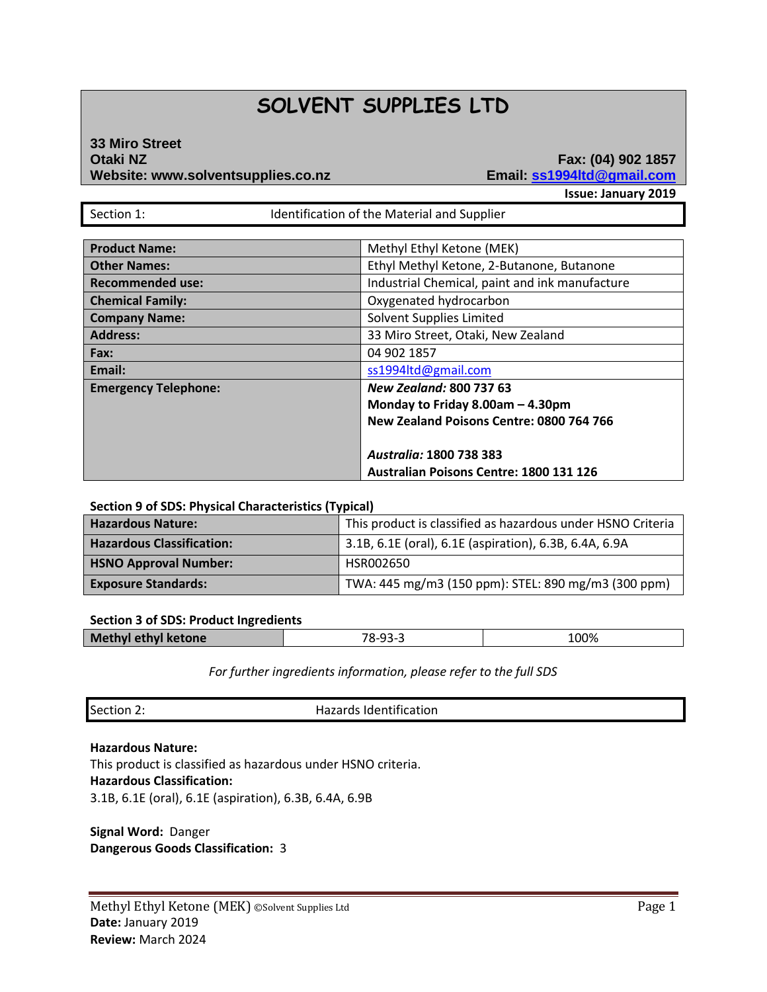# **SOLVENT SUPPLIES LTD**

# **33 Miro Street Otaki NZ Fax: (04) 902 1857 Website: www.solventsupplies.co.nz Email: ss1994ltd@gmail.com**

**Issue: January 2019**

Section 1: **IDENTIFICATE:** Identification of the Material and Supplier

| <b>Product Name:</b>        | Methyl Ethyl Ketone (MEK)                      |
|-----------------------------|------------------------------------------------|
| <b>Other Names:</b>         | Ethyl Methyl Ketone, 2-Butanone, Butanone      |
| <b>Recommended use:</b>     | Industrial Chemical, paint and ink manufacture |
| <b>Chemical Family:</b>     | Oxygenated hydrocarbon                         |
| <b>Company Name:</b>        | Solvent Supplies Limited                       |
| <b>Address:</b>             | 33 Miro Street, Otaki, New Zealand             |
| Fax:                        | 04 902 1857                                    |
| Email:                      | ss1994ltd@gmail.com                            |
| <b>Emergency Telephone:</b> | <b>New Zealand: 800 737 63</b>                 |
|                             | Monday to Friday 8.00am - 4.30pm               |
|                             | New Zealand Poisons Centre: 0800 764 766       |
|                             |                                                |
|                             | Australia: 1800 738 383                        |
|                             | <b>Australian Poisons Centre: 1800 131 126</b> |

#### **Section 9 of SDS: Physical Characteristics (Typical)**

| <b>Hazardous Nature:</b>         | This product is classified as hazardous under HSNO Criteria |  |
|----------------------------------|-------------------------------------------------------------|--|
| <b>Hazardous Classification:</b> | 3.1B, 6.1E (oral), 6.1E (aspiration), 6.3B, 6.4A, 6.9A      |  |
| <b>HSNO Approval Number:</b>     | HSR002650                                                   |  |
| <b>Exposure Standards:</b>       | TWA: 445 mg/m3 (150 ppm): STEL: 890 mg/m3 (300 ppm)         |  |

#### **Section 3 of SDS: Product Ingredients**

| <b>Methyl ethyl ketone</b> | _02_2<br>70<br>.<br>$\sim$ – | 100% |
|----------------------------|------------------------------|------|
|                            |                              |      |

*For further ingredients information, please refer to the full SDS*

| Section 2: | Hazards Identification |
|------------|------------------------|
|------------|------------------------|

#### **Hazardous Nature:**

This product is classified as hazardous under HSNO criteria. **Hazardous Classification:** 3.1B, 6.1E (oral), 6.1E (aspiration), 6.3B, 6.4A, 6.9B

**Signal Word:** Danger **Dangerous Goods Classification:** 3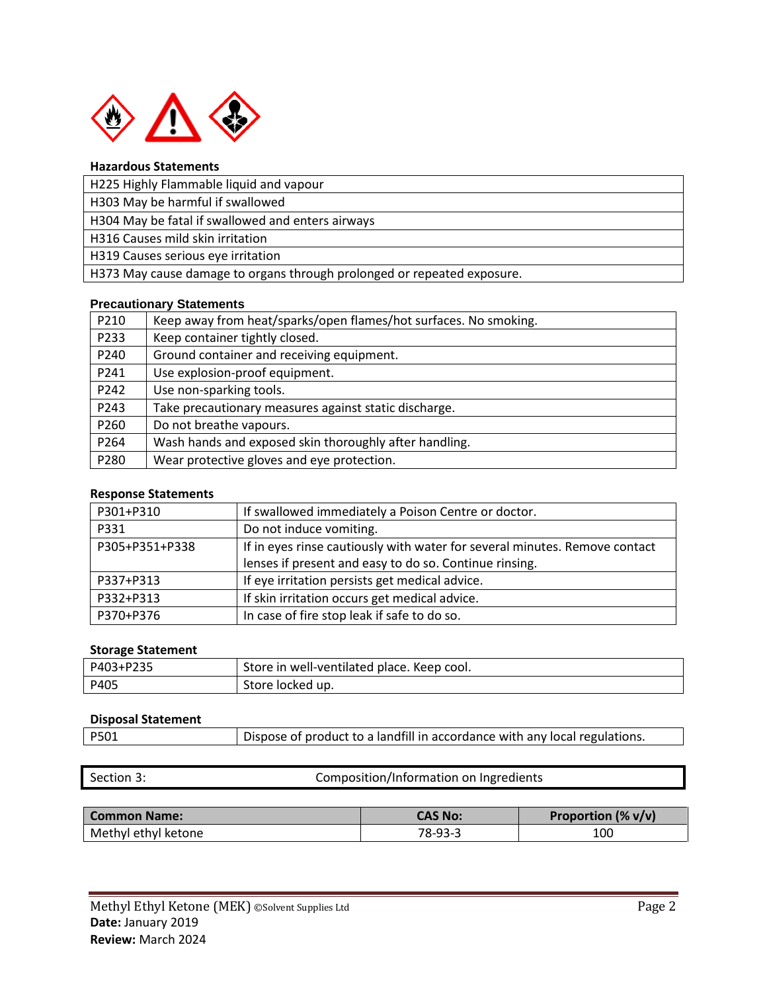

# **Hazardous Statements**

H303 May be harmful if swallowed

H304 May be fatal if swallowed and enters airways

H316 Causes mild skin irritation

H319 Causes serious eye irritation

H373 May cause damage to organs through prolonged or repeated exposure.

# **Precautionary Statements**

| P210 | Keep away from heat/sparks/open flames/hot surfaces. No smoking. |
|------|------------------------------------------------------------------|
| P233 | Keep container tightly closed.                                   |
| P240 | Ground container and receiving equipment.                        |
| P241 | Use explosion-proof equipment.                                   |
| P242 | Use non-sparking tools.                                          |
| P243 | Take precautionary measures against static discharge.            |
| P260 | Do not breathe vapours.                                          |
| P264 | Wash hands and exposed skin thoroughly after handling.           |
| P280 | Wear protective gloves and eye protection.                       |

# **Response Statements**

| P301+P310      | If swallowed immediately a Poison Centre or doctor.                        |
|----------------|----------------------------------------------------------------------------|
| P331           | Do not induce vomiting.                                                    |
| P305+P351+P338 | If in eyes rinse cautiously with water for several minutes. Remove contact |
|                | lenses if present and easy to do so. Continue rinsing.                     |
| P337+P313      | If eye irritation persists get medical advice.                             |
| P332+P313      | If skin irritation occurs get medical advice.                              |
| P370+P376      | In case of fire stop leak if safe to do so.                                |

#### **Storage Statement**

| P403+P235 | Store in well-ventilated place. Keep cool. |
|-----------|--------------------------------------------|
| P405      | Store locked up.                           |

#### **Disposal Statement**

| Dispose of product to a landfill in accordance with any local regulations.<br>P501 |  |
|------------------------------------------------------------------------------------|--|
|------------------------------------------------------------------------------------|--|

Section 3: Composition/Information on Ingredients

| <b>Common Name:</b> | CAS No:   | Proportion $(\% v/v)$ |
|---------------------|-----------|-----------------------|
| Methyl ethyl ketone | $78-93-3$ | 100                   |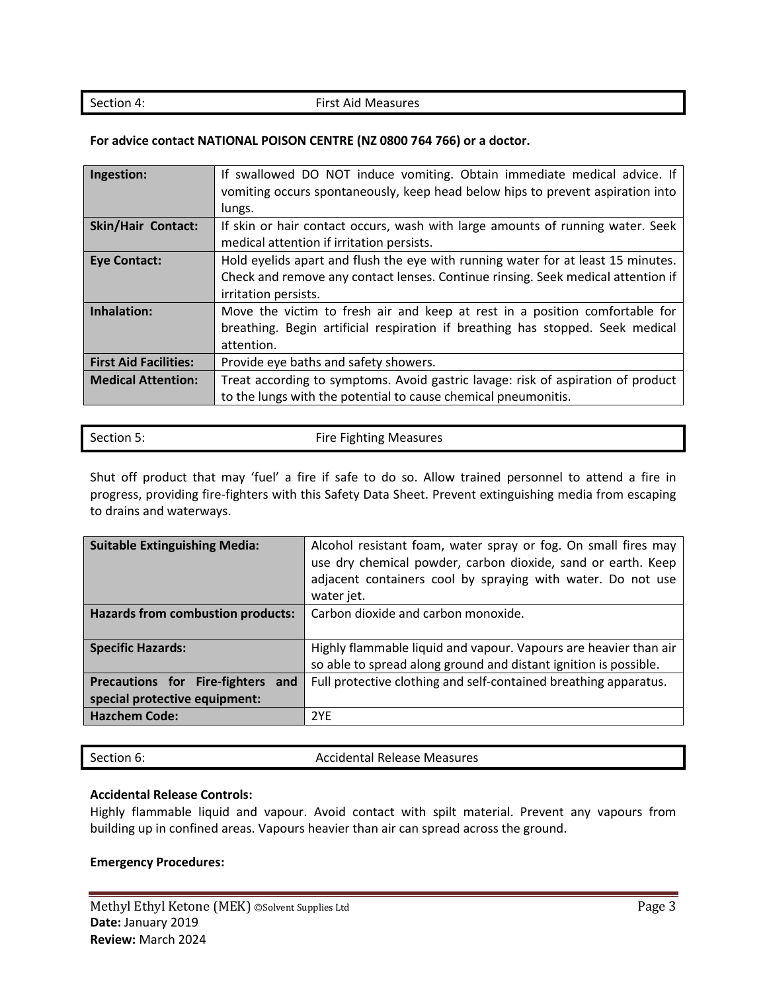#### Section 4: First Aid Measures

#### **For advice contact NATIONAL POISON CENTRE (NZ 0800 764 766) or a doctor.**

| Ingestion:                   | If swallowed DO NOT induce vomiting. Obtain immediate medical advice. If<br>vomiting occurs spontaneously, keep head below hips to prevent aspiration into |
|------------------------------|------------------------------------------------------------------------------------------------------------------------------------------------------------|
|                              | lungs.                                                                                                                                                     |
| Skin/Hair Contact:           | If skin or hair contact occurs, wash with large amounts of running water. Seek                                                                             |
|                              | medical attention if irritation persists.                                                                                                                  |
| <b>Eye Contact:</b>          | Hold eyelids apart and flush the eye with running water for at least 15 minutes.                                                                           |
|                              | Check and remove any contact lenses. Continue rinsing. Seek medical attention if                                                                           |
|                              | irritation persists.                                                                                                                                       |
| Inhalation:                  | Move the victim to fresh air and keep at rest in a position comfortable for                                                                                |
|                              | breathing. Begin artificial respiration if breathing has stopped. Seek medical                                                                             |
|                              | attention.                                                                                                                                                 |
| <b>First Aid Facilities:</b> | Provide eye baths and safety showers.                                                                                                                      |
| <b>Medical Attention:</b>    | Treat according to symptoms. Avoid gastric lavage: risk of aspiration of product                                                                           |
|                              | to the lungs with the potential to cause chemical pneumonitis.                                                                                             |

| Section 5: | <b>Fire Fighting Measures</b> |
|------------|-------------------------------|

Shut off product that may 'fuel' a fire if safe to do so. Allow trained personnel to attend a fire in progress, providing fire-fighters with this Safety Data Sheet. Prevent extinguishing media from escaping to drains and waterways.

| <b>Suitable Extinguishing Media:</b>                               | Alcohol resistant foam, water spray or fog. On small fires may<br>use dry chemical powder, carbon dioxide, sand or earth. Keep<br>adjacent containers cool by spraying with water. Do not use<br>water jet. |  |
|--------------------------------------------------------------------|-------------------------------------------------------------------------------------------------------------------------------------------------------------------------------------------------------------|--|
| <b>Hazards from combustion products:</b>                           | Carbon dioxide and carbon monoxide.                                                                                                                                                                         |  |
| <b>Specific Hazards:</b>                                           | Highly flammable liquid and vapour. Vapours are heavier than air<br>so able to spread along ground and distant ignition is possible.                                                                        |  |
| Precautions for Fire-fighters and<br>special protective equipment: | Full protective clothing and self-contained breathing apparatus.                                                                                                                                            |  |
| <b>Hazchem Code:</b>                                               | 2YF                                                                                                                                                                                                         |  |

| ection 6: |
|-----------|
|           |

Section 6: Accidental Release Measures

# **Accidental Release Controls:**

Highly flammable liquid and vapour. Avoid contact with spilt material. Prevent any vapours from building up in confined areas. Vapours heavier than air can spread across the ground.

#### **Emergency Procedures:**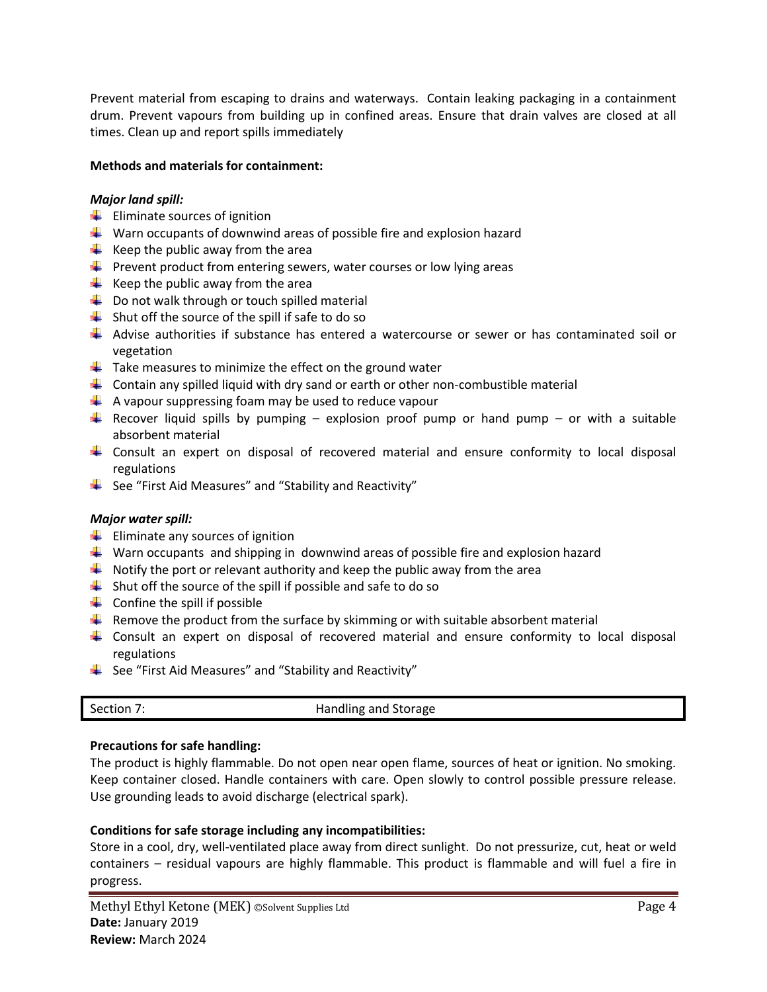Prevent material from escaping to drains and waterways. Contain leaking packaging in a containment drum. Prevent vapours from building up in confined areas. Ensure that drain valves are closed at all times. Clean up and report spills immediately

# **Methods and materials for containment:**

# *Major land spill:*

- $\leftarrow$  Eliminate sources of ignition
- $\downarrow$  Warn occupants of downwind areas of possible fire and explosion hazard
- $\frac{1}{\sqrt{2}}$  Keep the public away from the area
- $\ddot{\phantom{1}}$  Prevent product from entering sewers, water courses or low lying areas
- $\frac{1}{\sqrt{2}}$  Keep the public away from the area
- $\downarrow$  Do not walk through or touch spilled material
- $\downarrow$  Shut off the source of the spill if safe to do so
- Advise authorities if substance has entered a watercourse or sewer or has contaminated soil or vegetation
- $\downarrow$  Take measures to minimize the effect on the ground water
- $\downarrow$  Contain any spilled liquid with dry sand or earth or other non-combustible material
- $\downarrow$  A vapour suppressing foam may be used to reduce vapour
- Recover liquid spills by pumping explosion proof pump or hand pump or with a suitable absorbent material
- Consult an expert on disposal of recovered material and ensure conformity to local disposal regulations
- $\frac{1}{2}$  See "First Aid Measures" and "Stability and Reactivity"

# *Major water spill:*

- $\frac{1}{\sqrt{2}}$  Eliminate any sources of ignition
- **Warn occupants and shipping in downwind areas of possible fire and explosion hazard**
- $\downarrow$  Notify the port or relevant authority and keep the public away from the area
- $\downarrow$  Shut off the source of the spill if possible and safe to do so
- $\leftarrow$  Confine the spill if possible
- $\ddot{\phantom{1}}$  Remove the product from the surface by skimming or with suitable absorbent material
- Consult an expert on disposal of recovered material and ensure conformity to local disposal regulations
- $\frac{1}{2}$  See "First Aid Measures" and "Stability and Reactivity"

|  | Section 7: | Handling and Storage |
|--|------------|----------------------|
|--|------------|----------------------|

# **Precautions for safe handling:**

The product is highly flammable. Do not open near open flame, sources of heat or ignition. No smoking. Keep container closed. Handle containers with care. Open slowly to control possible pressure release. Use grounding leads to avoid discharge (electrical spark).

# **Conditions for safe storage including any incompatibilities:**

Store in a cool, dry, well-ventilated place away from direct sunlight. Do not pressurize, cut, heat or weld containers – residual vapours are highly flammable. This product is flammable and will fuel a fire in progress.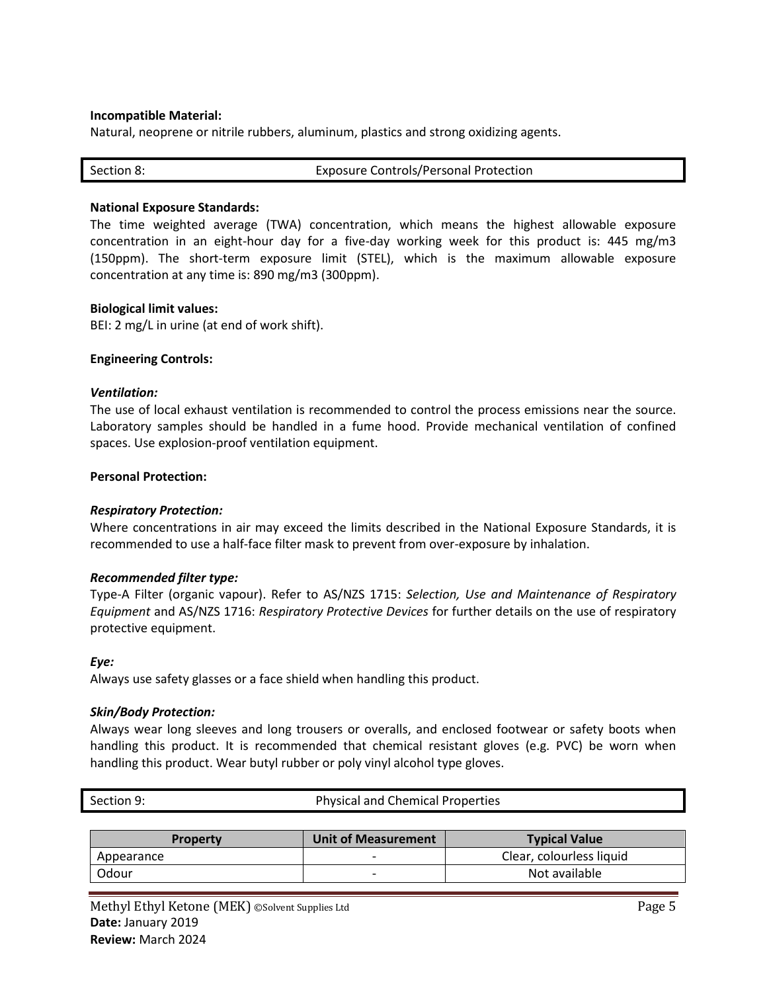#### **Incompatible Material:**

Natural, neoprene or nitrile rubbers, aluminum, plastics and strong oxidizing agents.

| Section 8: | <b>Exposure Controls/Personal Protection</b> |
|------------|----------------------------------------------|
|            |                                              |

#### **National Exposure Standards:**

The time weighted average (TWA) concentration, which means the highest allowable exposure concentration in an eight-hour day for a five-day working week for this product is: 445 mg/m3 (150ppm). The short-term exposure limit (STEL), which is the maximum allowable exposure concentration at any time is: 890 mg/m3 (300ppm).

#### **Biological limit values:**

BEI: 2 mg/L in urine (at end of work shift).

#### **Engineering Controls:**

#### *Ventilation:*

The use of local exhaust ventilation is recommended to control the process emissions near the source. Laboratory samples should be handled in a fume hood. Provide mechanical ventilation of confined spaces. Use explosion-proof ventilation equipment.

#### **Personal Protection:**

#### *Respiratory Protection:*

Where concentrations in air may exceed the limits described in the National Exposure Standards, it is recommended to use a half-face filter mask to prevent from over-exposure by inhalation.

#### *Recommended filter type:*

Type-A Filter (organic vapour). Refer to AS/NZS 1715: *Selection, Use and Maintenance of Respiratory Equipment* and AS/NZS 1716: *Respiratory Protective Devices* for further details on the use of respiratory protective equipment.

#### *Eye:*

Always use safety glasses or a face shield when handling this product.

#### *Skin/Body Protection:*

Always wear long sleeves and long trousers or overalls, and enclosed footwear or safety boots when handling this product. It is recommended that chemical resistant gloves (e.g. PVC) be worn when handling this product. Wear butyl rubber or poly vinyl alcohol type gloves.

|            |  | . |                                         | _ _ _ _ |
|------------|--|---|-----------------------------------------|---------|
|            |  |   |                                         |         |
|            |  |   |                                         |         |
|            |  |   |                                         |         |
| Section 9: |  |   | <b>Physical and Chemical Properties</b> |         |

| <b>Property</b> | <b>Unit of Measurement</b> | <b>Typical Value</b>     |
|-----------------|----------------------------|--------------------------|
| Appearance      |                            | Clear, colourless liquid |
| Odour           | -                          | Not available            |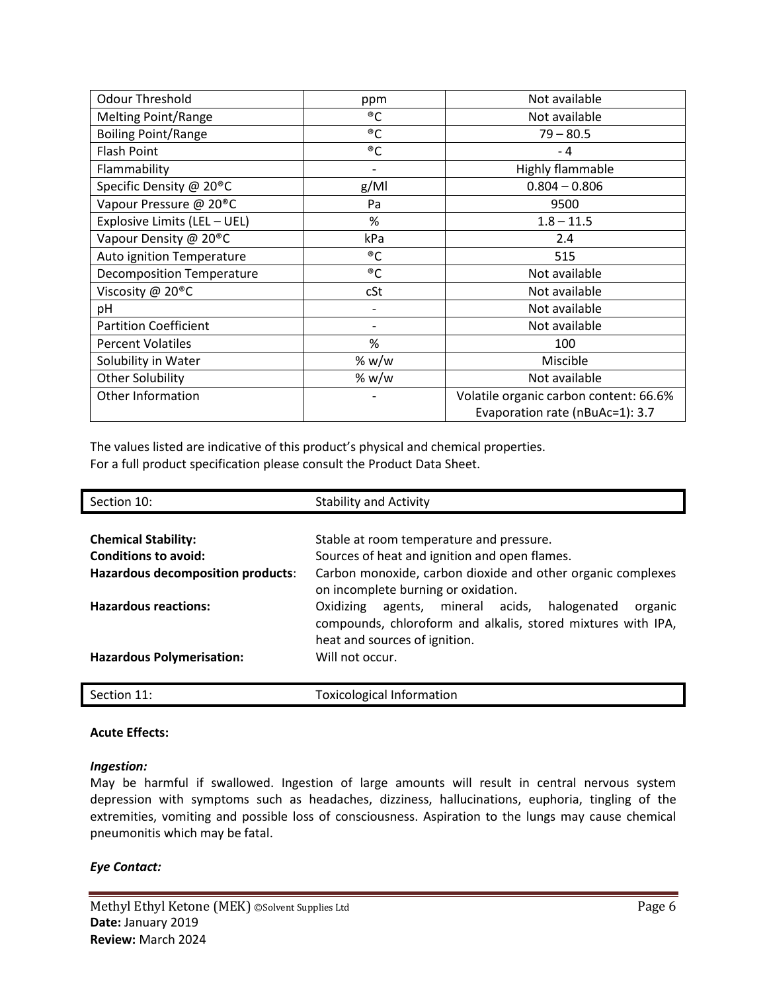| <b>Odour Threshold</b>               | ppm   | Not available                          |
|--------------------------------------|-------|----------------------------------------|
| <b>Melting Point/Range</b>           | ®C    | Not available                          |
| <b>Boiling Point/Range</b>           | ®C    | $79 - 80.5$                            |
| <b>Flash Point</b>                   | ®C    | $-4$                                   |
| Flammability                         |       | Highly flammable                       |
| Specific Density @ 20 <sup>®</sup> C | g/Ml  | $0.804 - 0.806$                        |
| Vapour Pressure @ 20 <sup>®</sup> C  | Pa    | 9500                                   |
| Explosive Limits (LEL - UEL)         | %     | $1.8 - 11.5$                           |
| Vapour Density @ 20 <sup>®</sup> C   | kPa   | 2.4                                    |
| Auto ignition Temperature            | ®C    | 515                                    |
| <b>Decomposition Temperature</b>     | ®C    | Not available                          |
| Viscosity @ 20 <sup>®</sup> C        | cSt   | Not available                          |
| pH                                   |       | Not available                          |
| <b>Partition Coefficient</b>         |       | Not available                          |
| <b>Percent Volatiles</b>             | %     | 100                                    |
| Solubility in Water                  | % w/w | Miscible                               |
| <b>Other Solubility</b>              | % w/w | Not available                          |
| Other Information                    |       | Volatile organic carbon content: 66.6% |
|                                      |       | Evaporation rate (nBuAc=1): 3.7        |

The values listed are indicative of this product's physical and chemical properties. For a full product specification please consult the Product Data Sheet.

| Section 10:                       | <b>Stability and Activity</b>                                                                                              |
|-----------------------------------|----------------------------------------------------------------------------------------------------------------------------|
|                                   |                                                                                                                            |
| <b>Chemical Stability:</b>        | Stable at room temperature and pressure.                                                                                   |
| <b>Conditions to avoid:</b>       | Sources of heat and ignition and open flames.                                                                              |
| Hazardous decomposition products: | Carbon monoxide, carbon dioxide and other organic complexes<br>on incomplete burning or oxidation.                         |
| <b>Hazardous reactions:</b>       | agents, mineral acids, halogenated<br>Oxidizing<br>organic<br>compounds, chloroform and alkalis, stored mixtures with IPA, |
|                                   | heat and sources of ignition.                                                                                              |
| <b>Hazardous Polymerisation:</b>  | Will not occur.                                                                                                            |
|                                   |                                                                                                                            |
| Section 11:                       | <b>Toxicological Information</b>                                                                                           |

# **Acute Effects:**

#### *Ingestion:*

May be harmful if swallowed. Ingestion of large amounts will result in central nervous system depression with symptoms such as headaches, dizziness, hallucinations, euphoria, tingling of the extremities, vomiting and possible loss of consciousness. Aspiration to the lungs may cause chemical pneumonitis which may be fatal.

# *Eye Contact:*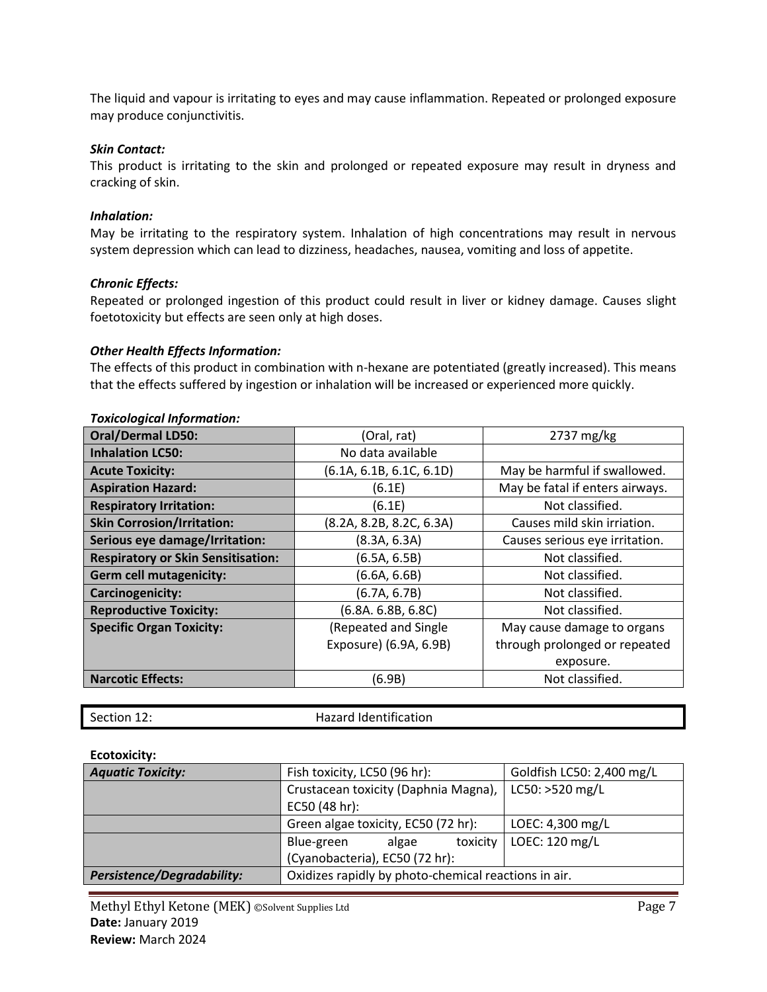The liquid and vapour is irritating to eyes and may cause inflammation. Repeated or prolonged exposure may produce conjunctivitis.

# *Skin Contact:*

This product is irritating to the skin and prolonged or repeated exposure may result in dryness and cracking of skin.

# *Inhalation:*

May be irritating to the respiratory system. Inhalation of high concentrations may result in nervous system depression which can lead to dizziness, headaches, nausea, vomiting and loss of appetite.

# *Chronic Effects:*

Repeated or prolonged ingestion of this product could result in liver or kidney damage. Causes slight foetotoxicity but effects are seen only at high doses.

# *Other Health Effects Information:*

The effects of this product in combination with n-hexane are potentiated (greatly increased). This means that the effects suffered by ingestion or inhalation will be increased or experienced more quickly.

| <b>Oral/Dermal LD50:</b>                  | (Oral, rat)              | 2737 mg/kg                      |
|-------------------------------------------|--------------------------|---------------------------------|
| <b>Inhalation LC50:</b>                   | No data available        |                                 |
| <b>Acute Toxicity:</b>                    | (6.1A, 6.1B, 6.1C, 6.1D) | May be harmful if swallowed.    |
| <b>Aspiration Hazard:</b>                 | (6.1E)                   | May be fatal if enters airways. |
| <b>Respiratory Irritation:</b>            | (6.1E)                   | Not classified.                 |
| <b>Skin Corrosion/Irritation:</b>         | (8.2A, 8.2B, 8.2C, 6.3A) | Causes mild skin irriation.     |
| Serious eye damage/Irritation:            | (8.3A, 6.3A)             | Causes serious eye irritation.  |
| <b>Respiratory or Skin Sensitisation:</b> | (6.5A, 6.5B)             | Not classified.                 |
| <b>Germ cell mutagenicity:</b>            | (6.6A, 6.6B)             | Not classified.                 |
| Carcinogenicity:                          | (6.7A, 6.7B)             | Not classified.                 |
| <b>Reproductive Toxicity:</b>             | (6.8A. 6.8B, 6.8C)       | Not classified.                 |
| <b>Specific Organ Toxicity:</b>           | (Repeated and Single     | May cause damage to organs      |
|                                           | Exposure) (6.9A, 6.9B)   | through prolonged or repeated   |
|                                           |                          | exposure.                       |
| <b>Narcotic Effects:</b>                  | (6.9B)                   | Not classified.                 |

## *Toxicological Information:*

| Section 12: |  |
|-------------|--|
|             |  |

Hazard Identification

# **Ecotoxicity:**

| <b>Aquatic Toxicity:</b>   | Goldfish LC50: 2,400 mg/L<br>Fish toxicity, LC50 (96 hr): |                  |  |
|----------------------------|-----------------------------------------------------------|------------------|--|
|                            | Crustacean toxicity (Daphnia Magna),                      | LC50: >520 mg/L  |  |
|                            | EC50 (48 hr):                                             |                  |  |
|                            | Green algae toxicity, EC50 (72 hr):                       | LOEC: 4,300 mg/L |  |
|                            | toxicity<br>Blue-green<br>algae                           | LOEC: 120 mg/L   |  |
|                            | (Cyanobacteria), EC50 (72 hr):                            |                  |  |
| Persistence/Degradability: | Oxidizes rapidly by photo-chemical reactions in air.      |                  |  |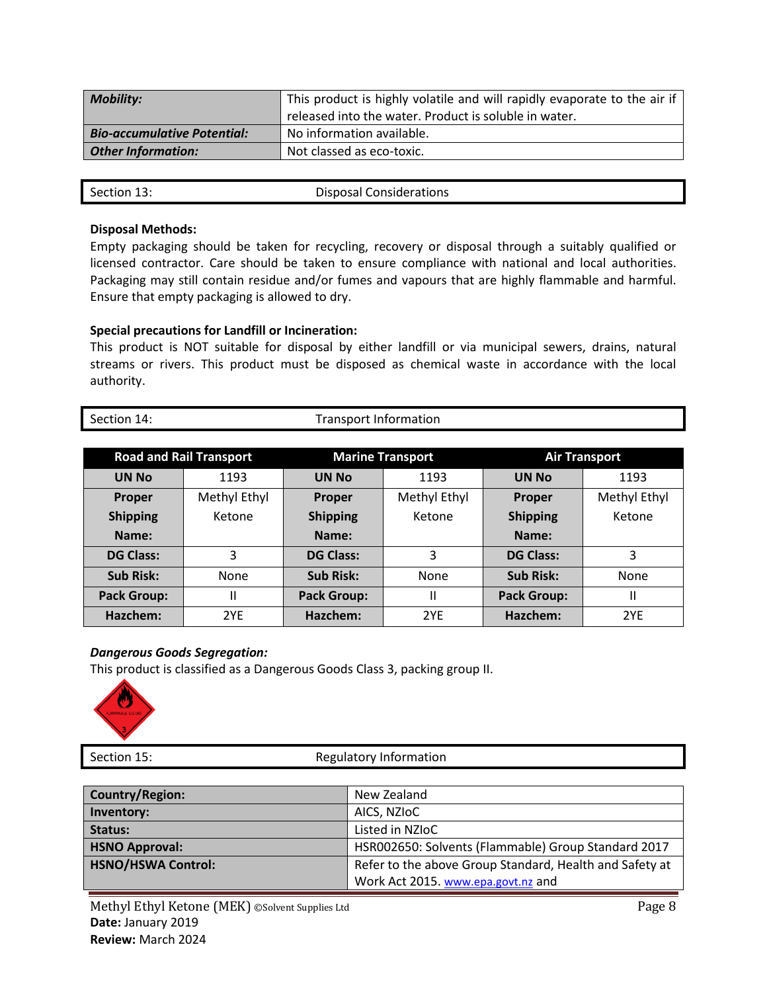| <b>Mobility:</b>                   | This product is highly volatile and will rapidly evaporate to the air if<br>released into the water. Product is soluble in water. |
|------------------------------------|-----------------------------------------------------------------------------------------------------------------------------------|
| <b>Bio-accumulative Potential:</b> | No information available.                                                                                                         |
| <b>Other Information:</b>          | Not classed as eco-toxic.                                                                                                         |

# **Disposal Methods:**

Empty packaging should be taken for recycling, recovery or disposal through a suitably qualified or licensed contractor. Care should be taken to ensure compliance with national and local authorities. Packaging may still contain residue and/or fumes and vapours that are highly flammable and harmful. Ensure that empty packaging is allowed to dry.

# **Special precautions for Landfill or Incineration:**

This product is NOT suitable for disposal by either landfill or via municipal sewers, drains, natural streams or rivers. This product must be disposed as chemical waste in accordance with the local authority.

| Section 14: | <b>Transport Information</b> |
|-------------|------------------------------|

| <b>Road and Rail Transport</b> |              | <b>Marine Transport</b> |              | <b>Air Transport</b> |              |
|--------------------------------|--------------|-------------------------|--------------|----------------------|--------------|
| <b>UN No</b>                   | 1193         | <b>UN No</b>            | 1193         | <b>UN No</b>         | 1193         |
| Proper                         | Methyl Ethyl | <b>Proper</b>           | Methyl Ethyl | Proper               | Methyl Ethyl |
| <b>Shipping</b>                | Ketone       | <b>Shipping</b>         | Ketone       | <b>Shipping</b>      | Ketone       |
| Name:                          |              | Name:                   |              | Name:                |              |
| <b>DG Class:</b>               | 3            | <b>DG Class:</b>        | 3            | <b>DG Class:</b>     | 3            |
| <b>Sub Risk:</b>               | None         | <b>Sub Risk:</b>        | None         | <b>Sub Risk:</b>     | None         |
| <b>Pack Group:</b>             | н            | <b>Pack Group:</b>      | Ш            | <b>Pack Group:</b>   | Ш            |
| Hazchem:                       | 2YF          | Hazchem:                | 2YE          | Hazchem:             | 2YE          |

# *Dangerous Goods Segregation:*

This product is classified as a Dangerous Goods Class 3, packing group II.



Section 15: Section 15: Regulatory Information

| Country/Region:           | New Zealand                                             |
|---------------------------|---------------------------------------------------------|
| Inventory:                | AICS, NZIOC                                             |
| Status:                   | Listed in NZIoC                                         |
| <b>HSNO Approval:</b>     | HSR002650: Solvents (Flammable) Group Standard 2017     |
| <b>HSNO/HSWA Control:</b> | Refer to the above Group Standard, Health and Safety at |
|                           | Work Act 2015. www.epa.govt.nz and                      |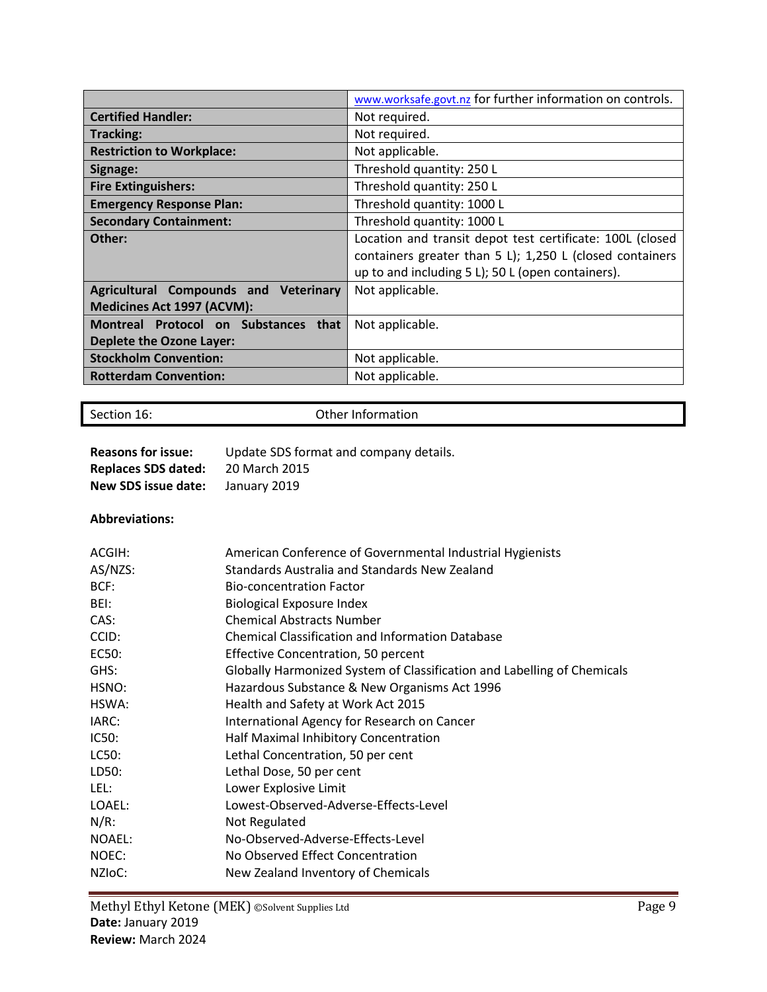|                                       | www.worksafe.govt.nz for further information on controls. |
|---------------------------------------|-----------------------------------------------------------|
| <b>Certified Handler:</b>             | Not required.                                             |
| <b>Tracking:</b>                      | Not required.                                             |
| <b>Restriction to Workplace:</b>      | Not applicable.                                           |
| Signage:                              | Threshold quantity: 250 L                                 |
| <b>Fire Extinguishers:</b>            | Threshold quantity: 250 L                                 |
| <b>Emergency Response Plan:</b>       | Threshold quantity: 1000 L                                |
| <b>Secondary Containment:</b>         | Threshold quantity: 1000 L                                |
| Other:                                | Location and transit depot test certificate: 100L (closed |
|                                       | containers greater than 5 L); 1,250 L (closed containers  |
|                                       | up to and including 5 L); 50 L (open containers).         |
| Agricultural Compounds and Veterinary | Not applicable.                                           |
| Medicines Act 1997 (ACVM):            |                                                           |
| Montreal Protocol on Substances that  | Not applicable.                                           |
| <b>Deplete the Ozone Layer:</b>       |                                                           |
| <b>Stockholm Convention:</b>          | Not applicable.                                           |
| <b>Rotterdam Convention:</b>          | Not applicable.                                           |

Section 16: Contract Contract Contract Contract Contract Contract Contract Contract Contract Contract Contract Contract Contract Contract Contract Contract Contract Contract Contract Contract Contract Contract Contract Con

| <b>Reasons for issue:</b>  | Update SDS format and company details. |
|----------------------------|----------------------------------------|
| <b>Replaces SDS dated:</b> | 20 March 2015                          |
| New SDS issue date:        | January 2019                           |

# **Abbreviations:**

| ACGIH:              | American Conference of Governmental Industrial Hygienists               |
|---------------------|-------------------------------------------------------------------------|
| AS/NZS:             | Standards Australia and Standards New Zealand                           |
| BCF:                | <b>Bio-concentration Factor</b>                                         |
| BEI:                | <b>Biological Exposure Index</b>                                        |
| CAS:                | <b>Chemical Abstracts Number</b>                                        |
| CCID:               | <b>Chemical Classification and Information Database</b>                 |
| EC50:               | Effective Concentration, 50 percent                                     |
| GHS:                | Globally Harmonized System of Classification and Labelling of Chemicals |
| HSNO:               | Hazardous Substance & New Organisms Act 1996                            |
| HSWA:               | Health and Safety at Work Act 2015                                      |
| IARC:               | International Agency for Research on Cancer                             |
| IC50:               | Half Maximal Inhibitory Concentration                                   |
| LC50:               | Lethal Concentration, 50 per cent                                       |
| LD50:               | Lethal Dose, 50 per cent                                                |
| LEL:                | Lower Explosive Limit                                                   |
| LOAEL:              | Lowest-Observed-Adverse-Effects-Level                                   |
| $N/R$ :             | Not Regulated                                                           |
| <b>NOAEL:</b>       | No-Observed-Adverse-Effects-Level                                       |
| NOEC:               | No Observed Effect Concentration                                        |
| NZI <sub>OC</sub> : | New Zealand Inventory of Chemicals                                      |